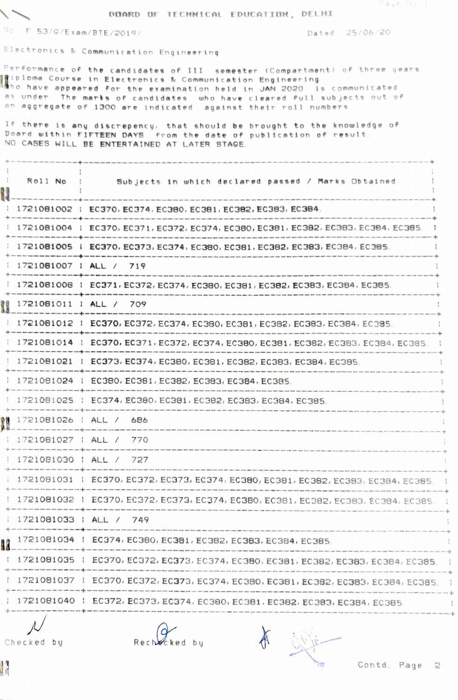## BOARD OF TECHNICAL EDUCATION, DELHI

No. F. 53/0/Exam/BTE/2019/

Dated : 25/06/20

Electronics & Communication Engineering

Performance of the candidates of III semester (Compartment) of three years naiploma Course in Electronics & Communication Engineering<br>Notho have appeared for the examination held in JAN 2020 is communicated as under. The marks of candidates who have cleared full subjects out of an aggregate of 1300 are indicated against their roll numbers.

If there is any discrepency, that should be brought to the knowledge of Board within FIFTEEN DAYS from the date of publication of result. NO CASES WILL BE ENTERTAINED AT LATER STAGE.

| Roll No                                                 | Subjects in which declared passed / Marks Obtained                                 |
|---------------------------------------------------------|------------------------------------------------------------------------------------|
|                                                         | 1721081002   EC370, EC374, EC380, EC381, EC382, EC383, EC384.                      |
|                                                         | 1721081004   EC370, EC371, EC372, EC374, EC380, EC381, EC382, EC383, EC384, EC385  |
|                                                         | 1721081005   EC370, EC373, EC374, EC380, EC381, EC382, EC383, EC384, EC385.        |
|                                                         | 1721081007   ALL / 719                                                             |
|                                                         | 1721081008   EC371, EC372, EC374, EC380, EC381, EC382, EC383, EC384, EC385.        |
| 1721081011   ALL /                                      | 709                                                                                |
|                                                         | 1721081012   EC370, EC372, EC374, EC380, EC381, EC382, EC383, EC384, EC385.        |
|                                                         | 1721081014   EC370, EC371, EC372, EC374, EC380, EC381, EC382, EC383, EC384, EC385. |
|                                                         | 1721081021   EC373, EC374, EC380, EC381, EC382, EC383, EC384, EC385.               |
|                                                         | 1721081024   EC380, EC381, EC382, EC383, EC384, EC385.                             |
|                                                         | 1721081025   EC374, EC380, EC381, EC382, EC383, EC384, EC385.                      |
| 1721081026   ALL / 686                                  |                                                                                    |
| 1721081027 : ALL /                                      | 770                                                                                |
|                                                         | 1721081030   ALL / 727                                                             |
| there are now and the same of the same who can be a set | 1721081031   EC370, EC372, EC373, EC374, EC380, EC381, EC382, EC383, EC384, EC385. |
|                                                         | 1721081032   EC370, EC372, EC373, EC374, EC380, EC381, EC382, EC383, EC384, EC385  |
|                                                         | 1721081033   ALL / 749                                                             |
|                                                         | 1721081034   EC374, EC380, EC381, EC382, EC383, EC384, EC385.                      |
|                                                         | 1721081035   EC370, EC372, EC373, EC374, EC380, EC381, EC382, EC383, EC384, EC385, |
|                                                         | 1721081037   EC370, EC372, EC373, EC374, EC380, EC381, EC382, EC383, EC384, EC385, |
|                                                         | 1721081040   EC372, EC373, EC374, EC380, EC381, EC382, EC383, EC384, EC385.        |
|                                                         |                                                                                    |

 $\overline{\mathcal{L}}$ Checked by

 $R$ echeck ed bu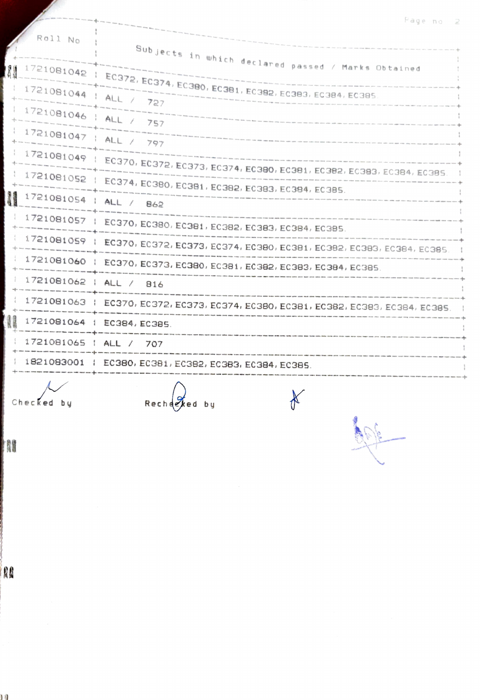|  | Page |  |  |
|--|------|--|--|
|  |      |  |  |
|  |      |  |  |
|  |      |  |  |

| Roll No                | Subjects in which declared passed / Marks Obtained                                                                                                                                                                     |  |
|------------------------|------------------------------------------------------------------------------------------------------------------------------------------------------------------------------------------------------------------------|--|
| N                      |                                                                                                                                                                                                                        |  |
| 1721081044   ALL / 727 | $1721081042$   EC372, EC374, EC380, EC381, EC382, EC383, EC384, EC385.                                                                                                                                                 |  |
| 1721081046   ALL / 757 |                                                                                                                                                                                                                        |  |
| 1721081047   ALL / 797 |                                                                                                                                                                                                                        |  |
|                        | 1721081049   EC370, EC372, EC373, EC374, EC380, EC381, EC382, EC383, EC384, EC385.                                                                                                                                     |  |
|                        | 1721081052   EC374, EC380, EC381, EC382, EC383, EC384, EC385.                                                                                                                                                          |  |
| 1721081054   ALL / 862 | The fight days attack down publy week with loads given chine some spile excel with your roots with three coup whose soles below sales                                                                                  |  |
|                        | 1721081057   EC370, EC380, EC381, EC382, EC383, EC384, EC385.<br>.<br>In that they can construct the company of the contract of the company of the contract point and the company of                                   |  |
|                        | $1721081059$   EC370, EC372, EC373, EC374, EC380, EC381, EC382, EC383, EC384, EC385.                                                                                                                                   |  |
|                        | 1721081060   EC370, EC373, EC380, EC381, EC382, EC383, EC384, EC385.                                                                                                                                                   |  |
| 1721081062   ALL / 816 | .<br>The cost your truck when were truck tools above tends with your study allow here now your plan division in the                                                                                                    |  |
|                        | 1721081063   EC370, EC372, EC373, EC374, EC380, EC381, EC382, EC383, EC384, EC385.<br>with setti must goods young creaty ching aftics cames beatly times today behind study names aplies whose moved moved masse amoun |  |
| N                      | 1721081064   EC384, EC385.                                                                                                                                                                                             |  |
| 1721081065   ALL / 707 |                                                                                                                                                                                                                        |  |
|                        | 1821083001   EC380, EC381, EC382, EC383, EC384, EC385.                                                                                                                                                                 |  |
| Checked bu             | Recherked by                                                                                                                                                                                                           |  |

N

RE

ង

Rechered by

60